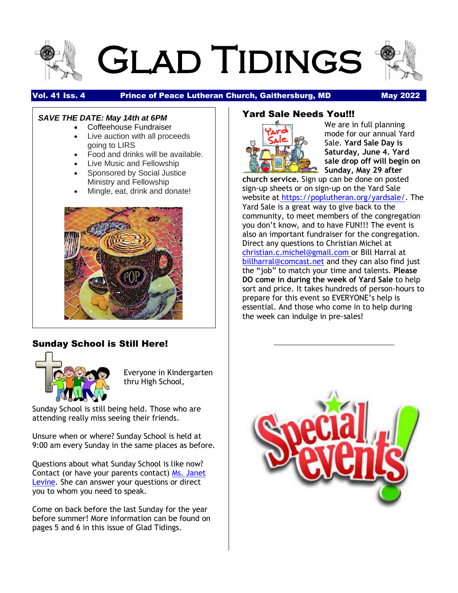

# Glad Tidings



#### Vol. 41 Iss. 4 Prince of Peace Lutheran Church, Gaithersburg, MD May 2022

#### *SAVE THE DATE: May 14th at 6PM*

- Coffeehouse Fundraiser
- Live auction with all proceeds going to LIRS
- Food and drinks will be available.
- Live Music and Fellowship
- Sponsored by Social Justice Ministry and Fellowship
- Mingle, eat, drink and donate!



### Sunday School is Still Here!



Everyone in Kindergarten thru High School,

Sunday School is still being held. Those who are attending really miss seeing their friends.

Unsure when or where? Sunday School is held at 9:00 am every Sunday in the same places as before.

Questions about what Sunday School is like now? Contact (or have your parents contact) [Ms. Janet](mailto:Lyle1Janet@msn.com)  [Levine.](mailto:Lyle1Janet@msn.com) She can answer your questions or direct you to whom you need to speak.

Come on back before the last Sunday for the year before summer! More information can be found on pages 5 and 6 in this issue of Glad Tidings.

### Yard Sale Needs You!!!



We are in full planning mode for our annual Yard Sale. **Yard Sale Day is Saturday, June 4. Yard sale drop off will begin on Sunday, May 29 after** 

**church service.** Sign up can be done on posted sign-up sheets or on sign-up on the Yard Sale website at [https://poplutheran.org/yardsale/.](https://poplutheran.org/yardsale/) The Yard Sale is a great way to give back to the community, to meet members of the congregation you don't know, and to have FUN!!! The event is also an important fundraiser for the congregation. Direct any questions to Christian Michel at [christian.c.michel@gmail.com](mailto:christian.c.michel@gmail.com) or Bill Harral at [billharral@comcast.net](mailto:billharral@comcast.net) and they can also find just the "job" to match your time and talents. **Please DO come in during the week of Yard Sale** to help sort and price. It takes hundreds of person-hours to prepare for this event so EVERYONE's help is essential. And those who come in to help during the week can indulge in pre-sales!

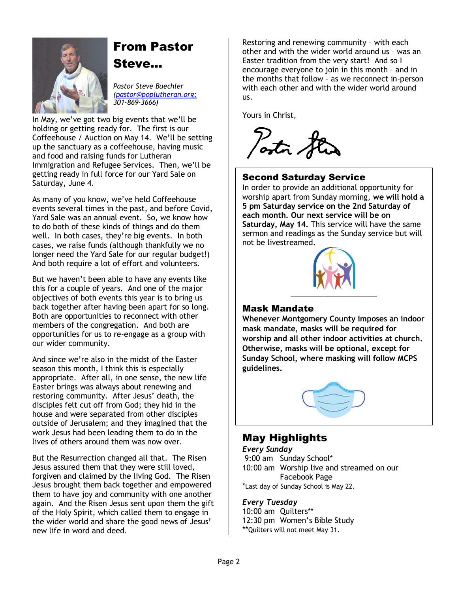

### From Pastor

Steve…

*Pastor Steve Buechler [\(pastor@poplutheran.org;](mailto:pastor@poplutheran.org) 301-869-3666)*

In May, we've got two big events that we'll be holding or getting ready for. The first is our Coffeehouse / Auction on May 14. We'll be setting up the sanctuary as a coffeehouse, having music and food and raising funds for Lutheran Immigration and Refugee Services. Then, we'll be getting ready in full force for our Yard Sale on Saturday, June 4.

As many of you know, we've held Coffeehouse events several times in the past, and before Covid, Yard Sale was an annual event. So, we know how to do both of these kinds of things and do them well. In both cases, they're big events. In both cases, we raise funds (although thankfully we no longer need the Yard Sale for our regular budget!) And both require a lot of effort and volunteers.

But we haven't been able to have any events like this for a couple of years. And one of the major objectives of both events this year is to bring us back together after having been apart for so long. Both are opportunities to reconnect with other members of the congregation. And both are opportunities for us to re-engage as a group with our wider community.

And since we're also in the midst of the Easter season this month, I think this is especially appropriate. After all, in one sense, the new life Easter brings was always about renewing and restoring community. After Jesus' death, the disciples felt cut off from God; they hid in the house and were separated from other disciples outside of Jerusalem; and they imagined that the work Jesus had been leading them to do in the lives of others around them was now over.

But the Resurrection changed all that. The Risen Jesus assured them that they were still loved, forgiven and claimed by the living God. The Risen Jesus brought them back together and empowered them to have joy and community with one another again. And the Risen Jesus sent upon them the gift of the Holy Spirit, which called them to engage in the wider world and share the good news of Jesus' new life in word and deed.

Restoring and renewing community – with each other and with the wider world around us – was an Easter tradition from the very start! And so I encourage everyone to join in this month – and in the months that follow – as we reconnect in-person with each other and with the wider world around us.

Yours in Christ,

Posta &

### Second Saturday Service

In order to provide an additional opportunity for worship apart from Sunday morning, **we will hold a 5 pm Saturday service on the 2nd Saturday of each month. Our next service will be on Saturday, May 14.** This service will have the same sermon and readings as the Sunday service but will not be livestreamed.



### Mask Mandate

**Whenever Montgomery County imposes an indoor mask mandate, masks will be required for worship and all other indoor activities at church. Otherwise, masks will be optional, except for Sunday School, where masking will follow MCPS guidelines.**



### May Highlights

*Every Sunday* 9:00 am Sunday School\* 10:00 am Worship live and streamed on our Facebook Page \*Last day of Sunday School is May 22.

#### *Every Tuesday*

10:00 am Quilters\*\* 12:30 pm Women's Bible Study \*\*Quilters will not meet May 31.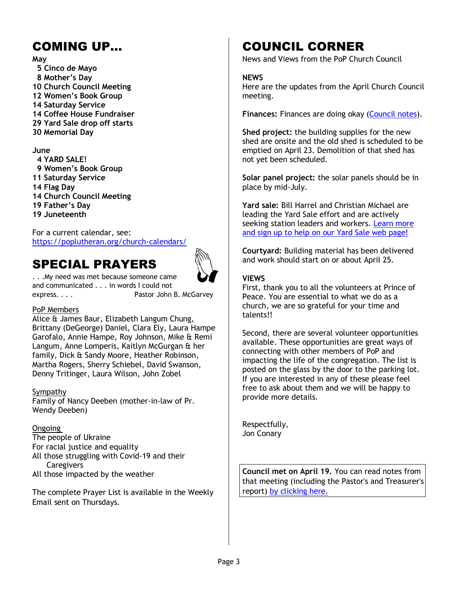### COMING UP…

#### **May**

 **5 Cinco de Mayo 8 Mother's Day 10 Church Council Meeting 12 Women's Book Group 14 Saturday Service 14 Coffee House Fundraiser 29 Yard Sale drop off starts 30 Memorial Day**

#### **June**

 **4 YARD SALE! 9 Women's Book Group 11 Saturday Service 14 Flag Day 14 Church Council Meeting 19 Father's Day 19 Juneteenth**

For a current calendar, see: <https://poplutheran.org/church-calendars/>

### SPECIAL PRAYERS



. . .My need was met because someone came and communicated . . . in words I could not express. . . . Pastor John B. McGarvey

#### PoP Members

Alice & James Baur, Elizabeth Langum Chung, Brittany (DeGeorge) Daniel, Clara Ely, Laura Hampe Garofalo, Annie Hampe, Roy Johnson, Mike & Remi Langum, Anne Lomperis, Kaitlyn McGurgan & her family, Dick & Sandy Moore, Heather Robinson, Martha Rogers, Sherry Schiebel, David Swanson, Denny Tritinger, Laura Wilson, John Zobel

#### Sympathy

Family of Nancy Deeben (mother-in-law of Pr. Wendy Deeben)

#### Ongoing

The people of Ukraine For racial justice and equality All those struggling with Covid-19 and their **Caregivers** 

All those impacted by the weather

The complete Prayer List is available in the Weekly Email sent on Thursdays.

### COUNCIL CORNER

News and Views from the PoP Church Council

#### **NEWS**

Here are the updates from the April Church Council meeting.

**Finances:** Finances are doing okay [\(Council notes\)](https://poplutheran.org/wp-content/uploads/2022/04/April-2022-Council-Notes.pdf).

**Shed project:** the building supplies for the new shed are onsite and the old shed is scheduled to be emptied on April 23. Demolition of that shed has not yet been scheduled.

**Solar panel project:** the solar panels should be in place by mid-July.

**Yard sale:** Bill Harrel and Christian Michael are leading the Yard Sale effort and are actively seeking station leaders and workers. Learn more [and sign up to help on our Yard Sale web page!](https://poplutheran.org/yardsale/)

**Courtyard:** Building material has been delivered and work should start on or about April 25.

#### **VIEWS**

First, thank you to all the volunteers at Prince of Peace. You are essential to what we do as a church, we are so grateful for your time and talents!!

Second, there are several volunteer opportunities available. These opportunities are great ways of connecting with other members of PoP and impacting the life of the congregation. The list is posted on the glass by the door to the parking lot. If you are interested in any of these please feel free to ask about them and we will be happy to provide more details.

Respectfully, Jon Conary

**Council met on April 19.** You can read notes from that meeting (including the Pastor's and Treasurer's report) [by clicking here.](https://r20.rs6.net/tn.jsp?f=001AEHseRlP6W79ZnfEJEYDucO8ysPw-LuhU1rQu4cIDot36B81JCYPCfEVNNSAPNNYJQ_ppXMJh8502F2peokBAHEYn-NXfYtNxB-OZYM8YPvtm68PT6TLHepd77ZmQTCEKe5_0dThWRqY-G8Nqi_EBt2MZ60zaFbJ_SwhjF1uJzct37XXjxa6_jHR6I3E6LSWyu66kYfmMu3eX0OoB6RxaWKEzMDIaaEgEm9OyosYGBY=&c=0w3RCByaYfhzxNhO2u96U94Asg4XdG-xLwdN1QOFzUDCxyemEWkRdQ==&ch=MUpuJqAWhC0uUBgLYXPt0ZylFi0TKPBpoVvblOVds4qxVNEcHvPpgw==)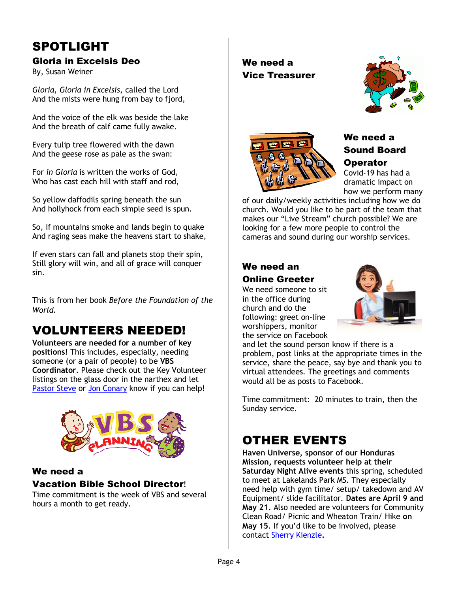### SPOTLIGHT

### Gloria in Excelsis Deo

By, Susan Weiner

*Gloria*, *Gloria in Excelsis*, called the Lord And the mists were hung from bay to fjord,

And the voice of the elk was beside the lake And the breath of calf came fully awake.

Every tulip tree flowered with the dawn And the geese rose as pale as the swan:

For *in Gloria* is written the works of God, Who has cast each hill with staff and rod,

So yellow daffodils spring beneath the sun And hollyhock from each simple seed is spun.

So, if mountains smoke and lands begin to quake And raging seas make the heavens start to shake,

If even stars can fall and planets stop their spin, Still glory will win, and all of grace will conquer sin.

This is from her book *Before the Foundation of the World.*

### VOLUNTEERS NEEDED!

**Volunteers are needed for a number of key positions!** This includes, especially, needing someone (or a pair of people) to be **VBS Coordinator**. Please check out the Key Volunteer listings on the glass door in the narthex and let [Pastor Steve](mailto:pastor@poplutheran.org) or [Jon Conary](mailto:drjon2018@gmail.com) know if you can help!



### We need a

#### Vacation Bible School Director!

Time commitment is the week of VBS and several hours a month to get ready.

We need a Vice Treasurer





### We need a Sound Board **Operator**

Covid-19 has had a dramatic impact on how we perform many

of our daily/weekly activities including how we do church. Would you like to be part of the team that makes our "Live Stream" church possible? We are looking for a few more people to control the cameras and sound during our worship services.

#### We need an Online Greeter

We need someone to sit in the office during church and do the following: greet on-line worshippers, monitor the service on Facebook



and let the sound person know if there is a problem, post links at the appropriate times in the service, share the peace, say bye and thank you to virtual attendees. The greetings and comments would all be as posts to Facebook.

Time commitment: 20 minutes to train, then the Sunday service.

### OTHER EVENTS

**Haven Universe, sponsor of our Honduras Mission, requests volunteer help at their Saturday Night Alive events** this spring, scheduled to meet at Lakelands Park MS. They especially need help with gym time/ setup/ takedown and AV Equipment/ slide facilitator. **Dates are April 9 and May 21.** Also needed are volunteers for Community Clean Road/ Picnic and Wheaton Train/ Hike **on May 15**. If you'd like to be involved, please contact [Sherry Kienzle](mailto:skienzle1@yahoo.com)**.**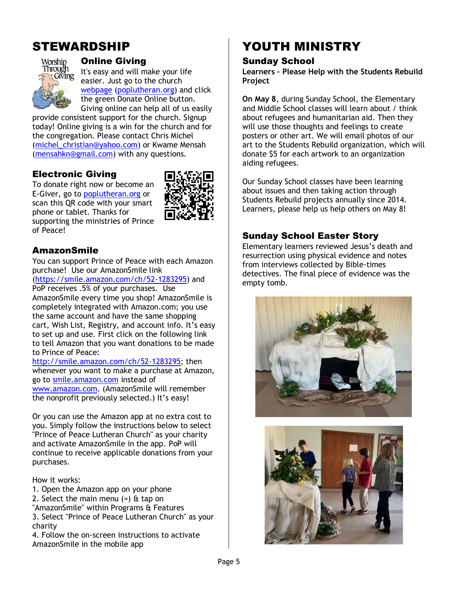### STEWARDSHIP



#### Online Giving

It's easy and will make your life easier. Just go to the church [webpage](http://r20.rs6.net/tn.jsp?f=001rHFNM1aRfZSTBOJddqwgWDQS23X_tjB4JzuDPzv81V02HcQudtSALkttGe3JsYQN9BS9ESE_57tyaXHx39aFiNaGnYcD_hsL3VmcT5-GTzVrUZzJZYAJIu5IMBmlFOutpVY4LcB6pIDnG5vm8HCPe7tzS3b9TB0zmTfENTWGYn8=&c=k6w6fJcGSiq5f5rKt6TjrSZmkTMnl0ppaY5MRWlW97EOcxRn1hOmwQ==&ch=2fegdWEToyiZWBUOm4zHz9pOKFoIp1blw4oiHx-DICx2aG3JYq8iwg==) [\(poplutheran.org\)](http://poplutheran.org/) and click the green Donate Online button. Giving online can help all of us easily

provide consistent support for the church. Signup today! Online giving is a win for the church and for the congregation. Please contact Chris Michel [\(michel\\_christian@yahoo.com\)](mailto:michel_christian@yahoo.com) or Kwame Mensah [\(mensahkn@gmail.com\)](mailto:mensahkn@gmail.com) with any questions.

### Electronic Giving

To donate right now or become an E-Giver, go to [poplutheran.org](http://www.poplutheran.org/) or scan this QR code with your smart phone or tablet. Thanks for supporting the ministries of Prince of Peace!



### AmazonSmile

You can support Prince of Peace with each Amazon purchase! Use our AmazonSmile link

[\(https://smile.amazon.com/ch/52-1283295\)](https://smile.amazon.com/ch/52-1283295) and PoP receives .5% of your purchases. Use AmazonSmile every time you shop! AmazonSmile is completely integrated with Amazon.com; you use the same account and have the same shopping cart, Wish List, Registry, and account info. It's easy to set up and use. First click on the following link to tell Amazon that you want donations to be made to Prince of Peace:

[http://smile.amazon.com/ch/52-1283295;](http://smile.amazon.com/ch/52-1283295) then whenever you want to make a purchase at Amazon, go to [smile.amazon.com](http://smile.amazon.com/) instead of [www.amazon.com.](http://www.amazon.com/) (AmazonSmile will remember the nonprofit previously selected.) It's easy!

Or you can use the Amazon app at no extra cost to you. Simply follow the instructions below to select "Prince of Peace Lutheran Church" as your charity and activate AmazonSmile in the app. PoP will continue to receive applicable donations from your purchases.

How it works:

- 1. Open the Amazon app on your phone
- 2. Select the main menu  $(=)$  & tap on
- "AmazonSmile" within Programs & Features 3. Select "Prince of Peace Lutheran Church" as your
- charity

4. Follow the on-screen instructions to activate AmazonSmile in the mobile app

# YOUTH MINISTRY

#### Sunday School

**Learners – Please Help with the Students Rebuild Project**

**On May 8**, during Sunday School, the Elementary and Middle School classes will learn about / think about refugees and humanitarian aid. Then they will use those thoughts and feelings to create posters or other art. We will email photos of our art to the Students Rebuild organization, which will donate \$5 for each artwork to an organization aiding refugees.

Our Sunday School classes have been learning about issues and then taking action through Students Rebuild projects annually since 2014. Learners, please help us help others on May 8!

### Sunday School Easter Story

Elementary learners reviewed Jesus's death and resurrection using physical evidence and notes from interviews collected by Bible-times detectives. The final piece of evidence was the empty tomb.



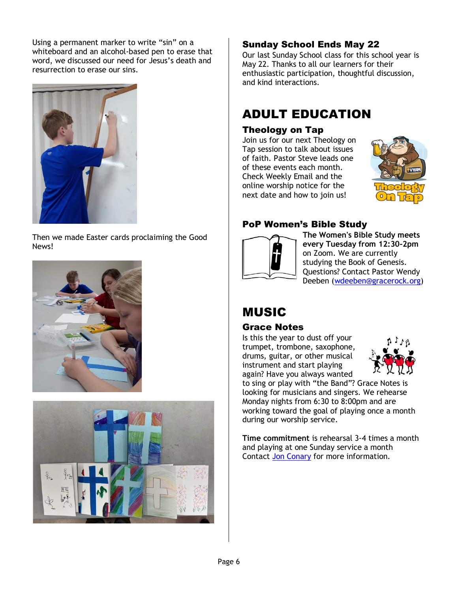Using a permanent marker to write "sin" on a whiteboard and an alcohol-based pen to erase that word, we discussed our need for Jesus's death and resurrection to erase our sins.



Then we made Easter cards proclaiming the Good News!





### Sunday School Ends May 22

Our last Sunday School class for this school year is May 22. Thanks to all our learners for their enthusiastic participation, thoughtful discussion, and kind interactions.

### ADULT EDUCATION

### Theology on Tap

Join us for our next Theology on Tap session to talk about issues of faith. Pastor Steve leads one of these events each month. Check Weekly Email and the online worship notice for the next date and how to join us!



### PoP Women's Bible Study



**The Women's Bible Study meets every Tuesday from 12:30-2pm** on Zoom. We are currently studying the Book of Genesis. Questions? Contact Pastor Wendy Deeben [\(wdeeben@gracerock.org\)](mailto:wdeeben@gracerock.org)

## MUSIC

### Grace Notes

Is this the year to dust off your trumpet, trombone, saxophone, drums, guitar, or other musical instrument and start playing again? Have you always wanted



to sing or play with "the Band"? Grace Notes is looking for musicians and singers. We rehearse Monday nights from 6:30 to 8:00pm and are working toward the goal of playing once a month during our worship service.

**Time commitment** is rehearsal 3-4 times a month and playing at one Sunday service a month Contact [Jon Conary](mailto:drjon2018@gmail.com) for more information.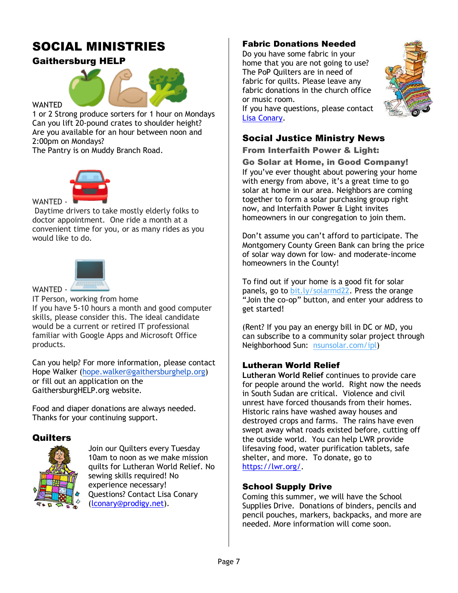### SOCIAL MINISTRIES

### Gaithersburg HELP



**WANTED** 

1 or 2 Strong produce sorters for 1 hour on Mondays Can you lift 20-pound crates to shoulder height? Are you available for an hour between noon and 2:00pm on Mondays?

The Pantry is on Muddy Branch Road.



Daytime drivers to take mostly elderly folks to doctor appointment. One ride a month at a convenient time for you, or as many rides as you would like to do.



WANTED -

IT Person, working from home

If you have 5-10 hours a month and good computer skills, please consider this. The ideal candidate would be a current or retired IT professional familiar with Google Apps and Microsoft Office products.

Can you help? For more information, please contact Hope Walker [\(hope.walker@gaithersburghelp.org\)](mailto:hope.walker@gaithersburghelp.org) or fill out an application on the GaithersburgHELP.org website.

Food and diaper donations are always needed. Thanks for your continuing support.

### **Quilters**



Join our Quilters every Tuesday 10am to noon as we make mission quilts for Lutheran World Relief. No sewing skills required! No experience necessary! Questions? Contact Lisa Conary [\(lconary@prodigy.net\)](file:///C:/Users/Marty/Desktop/lconary@prodigy.net).

#### Fabric Donations Needed

Do you have some fabric in your home that you are not going to use? The PoP Quilters are in need of fabric for quilts. Please leave any fabric donations in the church office or music room.



If you have questions, please contact [Lisa Conary.](mailto:lconary@prodigy.net)

### Social Justice Ministry News

From Interfaith Power & Light:

Go Solar at Home, in Good Company! If you've ever thought about powering your home with energy from above, it's a great time to go solar at home in our area. Neighbors are coming together to form a solar purchasing group right now, and Interfaith Power & Light invites homeowners in our congregation to join them.

Don't assume you can't afford to participate. The Montgomery County Green Bank can bring the price of solar way down for low- and moderate-income homeowners in the County!

To find out if your home is a good fit for solar panels, go to [bit.ly/solarmd22.](https://click.everyaction.com/k/44292509/340979620/567940368?nvep=ew0KICAiVGVuYW50VXJpIjogIm5ncHZhbjovL3Zhbi9FQS9FQTAwMy8xLzc0OTI3IiwNCiAgIkRpc3RyaWJ1dGlvblVuaXF1ZUlkIjogIjY4MGNjNjMxLWVkYmYtZWMxMS05OTdlLTI4MTg3OGI4M2Q4YSIsDQogICJFbWFpbEFkZHJlc3MiOiAib2ZmaWNlQHBvcGx1dGhlcmFuLm9yZyINCn0%3D&hmac=VHxokhD0CZJUPdLPUVwod_DpCY-i8TSMHDCqdEbvAKE=&emci=c402c295-69bf-ec11-997e-281878b83d8a&emdi=680cc631-edbf-ec11-997e-281878b83d8a&ceid=4395864) Press the orange "Join the co-op" button, and enter your address to get started!

(Rent? If you pay an energy bill in DC or MD, you can subscribe to a community solar project through Neighborhood Sun: [nsunsolar.com/ipl\)](https://click.everyaction.com/k/44292510/340979621/-2023685456?nvep=ew0KICAiVGVuYW50VXJpIjogIm5ncHZhbjovL3Zhbi9FQS9FQTAwMy8xLzc0OTI3IiwNCiAgIkRpc3RyaWJ1dGlvblVuaXF1ZUlkIjogIjY4MGNjNjMxLWVkYmYtZWMxMS05OTdlLTI4MTg3OGI4M2Q4YSIsDQogICJFbWFpbEFkZHJlc3MiOiAib2ZmaWNlQHBvcGx1dGhlcmFuLm9yZyINCn0%3D&hmac=VHxokhD0CZJUPdLPUVwod_DpCY-i8TSMHDCqdEbvAKE=&emci=c402c295-69bf-ec11-997e-281878b83d8a&emdi=680cc631-edbf-ec11-997e-281878b83d8a&ceid=4395864)

#### Lutheran World Relief

**Lutheran World Relief** continues to provide care for people around the world. Right now the needs in South Sudan are critical. Violence and civil unrest have forced thousands from their homes. Historic rains have washed away houses and destroyed crops and farms. The rains have even swept away what roads existed before, cutting off the outside world. You can help LWR provide lifesaving food, water purification tablets, safe shelter, and more. To donate, go to [https://lwr.org/.](https://lwr.org/)

#### School Supply Drive

Coming this summer, we will have the School Supplies Drive. Donations of binders, pencils and pencil pouches, markers, backpacks, and more are needed. More information will come soon.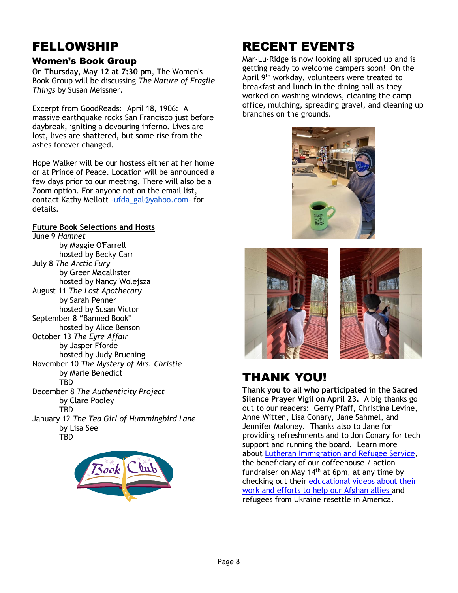### FELLOWSHIP

### Women's Book Group

On **Thursday, May 12 at 7:30 pm**, The Women's Book Group will be discussing *The Nature of Fragile Things* by Susan Meissner.

Excerpt from GoodReads: April 18, 1906: A massive earthquake rocks San Francisco just before daybreak, igniting a devouring inferno. Lives are lost, lives are shattered, but some rise from the ashes forever changed.

Hope Walker will be our hostess either at her home or at Prince of Peace. Location will be announced a few days prior to our meeting. There will also be a Zoom option. For anyone not on the email list, contact Kathy Mellott [-ufda\\_gal@yahoo.com-](mailto:ufda_gal@yahoo.com) for details.

#### **Future Book Selections and Hosts**

June 9 *Hamnet*  by Maggie O'Farrell hosted by Becky Carr July 8 *The Arctic Fury* by Greer Macallister hosted by Nancy Wolejsza August 11 *The Lost Apothecary* by Sarah Penner hosted by Susan Victor September 8 "Banned Book" hosted by Alice Benson October 13 *The Eyre Affair* by Jasper Fforde hosted by Judy Bruening November 10 *The Mystery of Mrs. Christie*  by Marie Benedict **TRD** December 8 *The Authenticity Project* by Clare Pooley TBD January 12 *The Tea Girl of Hummingbird Lane* by Lisa See **TBD** 



## RECENT EVENTS

Mar-Lu-Ridge is now looking all spruced up and is getting ready to welcome campers soon! On the April 9<sup>th</sup> workday, volunteers were treated to breakfast and lunch in the dining hall as they worked on washing windows, cleaning the camp office, mulching, spreading gravel, and cleaning up branches on the grounds.







### THANK YOU!

**Thank you to all who participated in the Sacred Silence Prayer Vigil on April 23.** A big thanks go out to our readers: Gerry Pfaff, Christina Levine, Anne Witten, Lisa Conary, Jane Sahmel, and Jennifer Maloney. Thanks also to Jane for providing refreshments and to Jon Conary for tech support and running the board. Learn more about [Lutheran Immigration and Refugee Service,](https://r20.rs6.net/tn.jsp?f=001AEHseRlP6W79ZnfEJEYDucO8ysPw-LuhU1rQu4cIDot36B81JCYPCYzdHySVS9AGgrUByXWg5vdq7x9Zno1mZk-R7G9Ift8c--cTD52dfQNjlEJ5lcKXWUUOP7wG6oQLSRcqpR0c2wE=&c=wI9u2NVenW7epd0FkdoD5uYoyVeJy5mvXJ07uVdS3KuLaQakw87afA==&ch=zpLzY8QGCIQd16CGOkUBt7O7_H03XbmC2jfMnvRVeepbzzdYlivDbQ==) the beneficiary of our coffeehouse / action fundraiser on May  $14<sup>th</sup>$  at 6pm, at any time by checking out their [educational videos about their](https://r20.rs6.net/tn.jsp?f=001AEHseRlP6W79ZnfEJEYDucO8ysPw-LuhU1rQu4cIDot36B81JCYPCeW1rqmM2TnoyZv8CoTiDRNY6TxzlBGG8By0hakdbySue7FULh0LPwriLPPpZ0PYYRNh-YzehgWqOE6DHgvURzOesBb2T8rpCxUGbbIs-sR6Umup9jZ8oXsMJvbYLDS72A==&c=wI9u2NVenW7epd0FkdoD5uYoyVeJy5mvXJ07uVdS3KuLaQakw87afA==&ch=zpLzY8QGCIQd16CGOkUBt7O7_H03XbmC2jfMnvRVeepbzzdYlivDbQ==)  [work and efforts to help our Afghan allies](https://r20.rs6.net/tn.jsp?f=001AEHseRlP6W79ZnfEJEYDucO8ysPw-LuhU1rQu4cIDot36B81JCYPCeW1rqmM2TnoyZv8CoTiDRNY6TxzlBGG8By0hakdbySue7FULh0LPwriLPPpZ0PYYRNh-YzehgWqOE6DHgvURzOesBb2T8rpCxUGbbIs-sR6Umup9jZ8oXsMJvbYLDS72A==&c=wI9u2NVenW7epd0FkdoD5uYoyVeJy5mvXJ07uVdS3KuLaQakw87afA==&ch=zpLzY8QGCIQd16CGOkUBt7O7_H03XbmC2jfMnvRVeepbzzdYlivDbQ==) and refugees from Ukraine resettle in America.